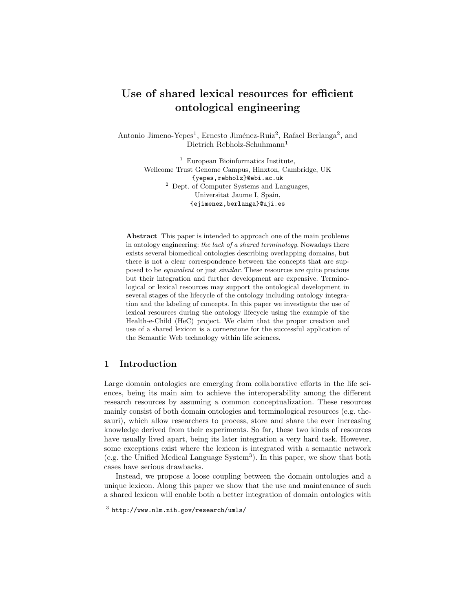# Use of shared lexical resources for efficient ontological engineering

Antonio Jimeno-Yepes<sup>1</sup>, Ernesto Jiménez-Ruiz<sup>2</sup>, Rafael Berlanga<sup>2</sup>, and Dietrich Rebholz-Schuhmann<sup>1</sup>

> <sup>1</sup> European Bioinformatics Institute, Wellcome Trust Genome Campus, Hinxton, Cambridge, UK {yepes,rebholz}@ebi.ac.uk <sup>2</sup> Dept. of Computer Systems and Languages, Universitat Jaume I, Spain, {ejimenez,berlanga}@uji.es

Abstract This paper is intended to approach one of the main problems in ontology engineering: the lack of a shared terminology. Nowadays there exists several biomedical ontologies describing overlapping domains, but there is not a clear correspondence between the concepts that are supposed to be equivalent or just similar. These resources are quite precious but their integration and further development are expensive. Terminological or lexical resources may support the ontological development in several stages of the lifecycle of the ontology including ontology integration and the labeling of concepts. In this paper we investigate the use of lexical resources during the ontology lifecycle using the example of the Health-e-Child (HeC) project. We claim that the proper creation and use of a shared lexicon is a cornerstone for the successful application of the Semantic Web technology within life sciences.

# 1 Introduction

Large domain ontologies are emerging from collaborative efforts in the life sciences, being its main aim to achieve the interoperability among the different research resources by assuming a common conceptualization. These resources mainly consist of both domain ontologies and terminological resources (e.g. thesauri), which allow researchers to process, store and share the ever increasing knowledge derived from their experiments. So far, these two kinds of resources have usually lived apart, being its later integration a very hard task. However, some exceptions exist where the lexicon is integrated with a semantic network (e.g. the Unified Medical Language System<sup>3</sup> ). In this paper, we show that both cases have serious drawbacks.

Instead, we propose a loose coupling between the domain ontologies and a unique lexicon. Along this paper we show that the use and maintenance of such a shared lexicon will enable both a better integration of domain ontologies with

 $^3$  http://www.nlm.nih.gov/research/umls/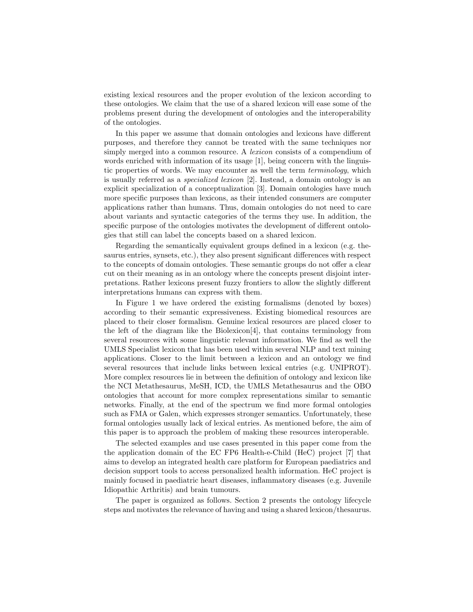existing lexical resources and the proper evolution of the lexicon according to these ontologies. We claim that the use of a shared lexicon will ease some of the problems present during the development of ontologies and the interoperability of the ontologies.

In this paper we assume that domain ontologies and lexicons have different purposes, and therefore they cannot be treated with the same techniques nor simply merged into a common resource. A *lexicon* consists of a compendium of words enriched with information of its usage [1], being concern with the linguistic properties of words. We may encounter as well the term terminology, which is usually referred as a specialized lexicon [2]. Instead, a domain ontology is an explicit specialization of a conceptualization [3]. Domain ontologies have much more specific purposes than lexicons, as their intended consumers are computer applications rather than humans. Thus, domain ontologies do not need to care about variants and syntactic categories of the terms they use. In addition, the specific purpose of the ontologies motivates the development of different ontologies that still can label the concepts based on a shared lexicon.

Regarding the semantically equivalent groups defined in a lexicon (e.g. thesaurus entries, synsets, etc.), they also present significant differences with respect to the concepts of domain ontologies. These semantic groups do not offer a clear cut on their meaning as in an ontology where the concepts present disjoint interpretations. Rather lexicons present fuzzy frontiers to allow the slightly different interpretations humans can express with them.

In Figure 1 we have ordered the existing formalisms (denoted by boxes) according to their semantic expressiveness. Existing biomedical resources are placed to their closer formalism. Genuine lexical resources are placed closer to the left of the diagram like the Biolexicon[4], that contains terminology from several resources with some linguistic relevant information. We find as well the UMLS Specialist lexicon that has been used within several NLP and text mining applications. Closer to the limit between a lexicon and an ontology we find several resources that include links between lexical entries (e.g. UNIPROT). More complex resources lie in between the definition of ontology and lexicon like the NCI Metathesaurus, MeSH, ICD, the UMLS Metathesaurus and the OBO ontologies that account for more complex representations similar to semantic networks. Finally, at the end of the spectrum we find more formal ontologies such as FMA or Galen, which expresses stronger semantics. Unfortunately, these formal ontologies usually lack of lexical entries. As mentioned before, the aim of this paper is to approach the problem of making these resources interoperable.

The selected examples and use cases presented in this paper come from the the application domain of the EC FP6 Health-e-Child (HeC) project [7] that aims to develop an integrated health care platform for European paediatrics and decision support tools to access personalized health information. HeC project is mainly focused in paediatric heart diseases, inflammatory diseases (e.g. Juvenile Idiopathic Arthritis) and brain tumours.

The paper is organized as follows. Section 2 presents the ontology lifecycle steps and motivates the relevance of having and using a shared lexicon/thesaurus.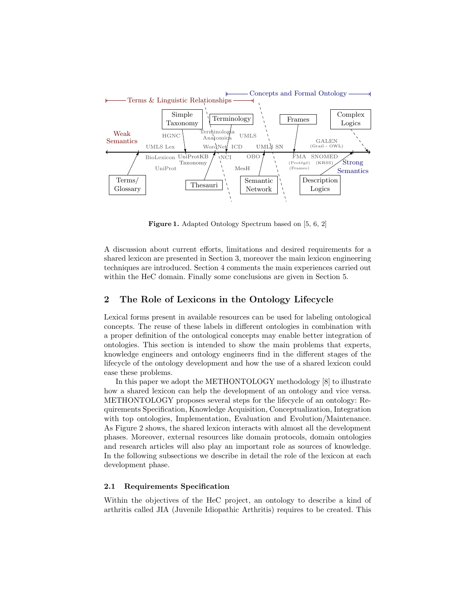

Figure 1. Adapted Ontology Spectrum based on [5, 6, 2]

A discussion about current efforts, limitations and desired requirements for a shared lexicon are presented in Section 3, moreover the main lexicon engineering techniques are introduced. Section 4 comments the main experiences carried out within the HeC domain. Finally some conclusions are given in Section 5.

# 2 The Role of Lexicons in the Ontology Lifecycle

Lexical forms present in available resources can be used for labeling ontological concepts. The reuse of these labels in different ontologies in combination with a proper definition of the ontological concepts may enable better integration of ontologies. This section is intended to show the main problems that experts, knowledge engineers and ontology engineers find in the different stages of the lifecycle of the ontology development and how the use of a shared lexicon could ease these problems.

In this paper we adopt the METHONTOLOGY methodology [8] to illustrate how a shared lexicon can help the development of an ontology and vice versa. METHONTOLOGY proposes several steps for the lifecycle of an ontology: Requirements Specification, Knowledge Acquisition, Conceptualization, Integration with top ontologies, Implementation, Evaluation and Evolution/Maintenance. As Figure 2 shows, the shared lexicon interacts with almost all the development phases. Moreover, external resources like domain protocols, domain ontologies and research articles will also play an important role as sources of knowledge. In the following subsections we describe in detail the role of the lexicon at each development phase.

## 2.1 Requirements Specification

Within the objectives of the HeC project, an ontology to describe a kind of arthritis called JIA (Juvenile Idiopathic Arthritis) requires to be created. This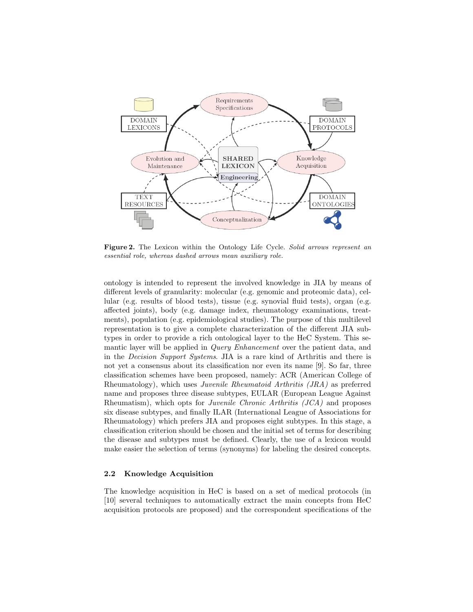

Figure 2. The Lexicon within the Ontology Life Cycle. Solid arrows represent an essential role, whereas dashed arrows mean auxiliary role.

ontology is intended to represent the involved knowledge in JIA by means of different levels of granularity: molecular (e.g. genomic and proteomic data), cellular (e.g. results of blood tests), tissue (e.g. synovial fluid tests), organ (e.g. affected joints), body (e.g. damage index, rheumatology examinations, treatments), population (e.g. epidemiological studies). The purpose of this multilevel representation is to give a complete characterization of the different JIA subtypes in order to provide a rich ontological layer to the HeC System. This semantic layer will be applied in Query Enhancement over the patient data, and in the Decision Support Systems. JIA is a rare kind of Arthritis and there is not yet a consensus about its classification nor even its name [9]. So far, three classification schemes have been proposed, namely: ACR (American College of Rheumatology), which uses Juvenile Rheumatoid Arthritis (JRA) as preferred name and proposes three disease subtypes, EULAR (European League Against Rheumatism), which opts for Juvenile Chronic Arthritis (JCA) and proposes six disease subtypes, and finally ILAR (International League of Associations for Rheumatology) which prefers JIA and proposes eight subtypes. In this stage, a classification criterion should be chosen and the initial set of terms for describing the disease and subtypes must be defined. Clearly, the use of a lexicon would make easier the selection of terms (synonyms) for labeling the desired concepts.

## 2.2 Knowledge Acquisition

The knowledge acquisition in HeC is based on a set of medical protocols (in [10] several techniques to automatically extract the main concepts from HeC acquisition protocols are proposed) and the correspondent specifications of the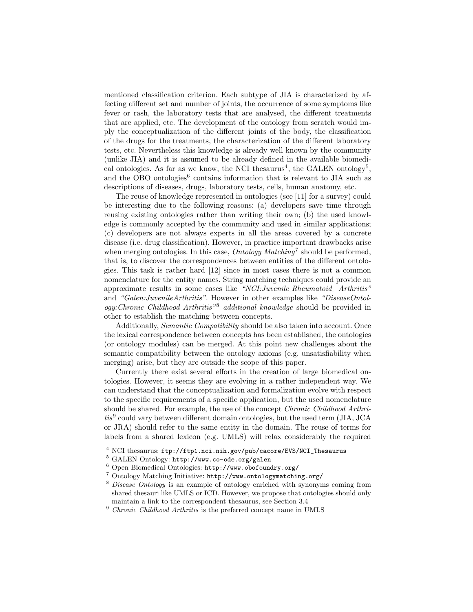mentioned classification criterion. Each subtype of JIA is characterized by affecting different set and number of joints, the occurrence of some symptoms like fever or rash, the laboratory tests that are analysed, the different treatments that are applied, etc. The development of the ontology from scratch would imply the conceptualization of the different joints of the body, the classification of the drugs for the treatments, the characterization of the different laboratory tests, etc. Nevertheless this knowledge is already well known by the community (unlike JIA) and it is assumed to be already defined in the available biomedical ontologies. As far as we know, the NCI thesaurus<sup>4</sup>, the GALEN ontology<sup>5</sup>, and the OBO ontologies<sup>6</sup> contains information that is relevant to JIA such as descriptions of diseases, drugs, laboratory tests, cells, human anatomy, etc.

The reuse of knowledge represented in ontologies (see [11] for a survey) could be interesting due to the following reasons: (a) developers save time through reusing existing ontologies rather than writing their own; (b) the used knowledge is commonly accepted by the community and used in similar applications; (c) developers are not always experts in all the areas covered by a concrete disease (i.e. drug classification). However, in practice important drawbacks arise when merging ontologies. In this case,  $Ontology \, Matching^7$  should be performed, that is, to discover the correspondences between entities of the different ontologies. This task is rather hard [12] since in most cases there is not a common nomenclature for the entity names. String matching techniques could provide an approximate results in some cases like "NCI: Juvenile\_Rheumatoid\_ Arthritis" and "Galen:JuvenileArthritis". However in other examples like "DiseaseOntology:Chronic Childhood Arthritis"<sup>8</sup> additional knowledge should be provided in other to establish the matching between concepts.

Additionally, *Semantic Compatibility* should be also taken into account. Once the lexical correspondence between concepts has been established, the ontologies (or ontology modules) can be merged. At this point new challenges about the semantic compatibility between the ontology axioms (e.g. unsatisfiability when merging) arise, but they are outside the scope of this paper.

Currently there exist several efforts in the creation of large biomedical ontologies. However, it seems they are evolving in a rather independent way. We can understand that the conceptualization and formalization evolve with respect to the specific requirements of a specific application, but the used nomenclature should be shared. For example, the use of the concept Chronic Childhood Arthritis<sup>9</sup> could vary between different domain ontologies, but the used term (JIA, JCA or JRA) should refer to the same entity in the domain. The reuse of terms for labels from a shared lexicon (e.g. UMLS) will relax considerably the required

<sup>4</sup> NCI thesaurus: ftp://ftp1.nci.nih.gov/pub/cacore/EVS/NCI\_Thesaurus

<sup>5</sup> GALEN Ontology: http://www.co-ode.org/galen

<sup>6</sup> Open Biomedical Ontologies: http://www.obofoundry.org/

<sup>7</sup> Ontology Matching Initiative: http://www.ontologymatching.org/

<sup>8</sup> Disease Ontology is an example of ontology enriched with synonyms coming from shared thesauri like UMLS or ICD. However, we propose that ontologies should only maintain a link to the correspondent thesaurus, see Section 3.4

 $^9$  Chronic Childhood Arthritis is the preferred concept name in UMLS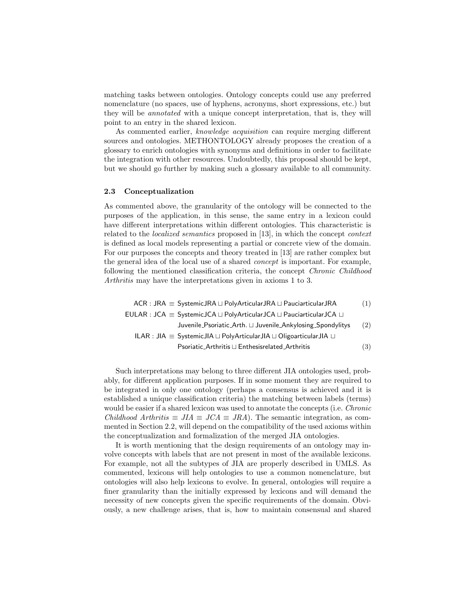matching tasks between ontologies. Ontology concepts could use any preferred nomenclature (no spaces, use of hyphens, acronyms, short expressions, etc.) but they will be annotated with a unique concept interpretation, that is, they will point to an entry in the shared lexicon.

As commented earlier, knowledge acquisition can require merging different sources and ontologies. METHONTOLOGY already proposes the creation of a glossary to enrich ontologies with synonyms and definitions in order to facilitate the integration with other resources. Undoubtedly, this proposal should be kept, but we should go further by making such a glossary available to all community.

## 2.3 Conceptualization

As commented above, the granularity of the ontology will be connected to the purposes of the application, in this sense, the same entry in a lexicon could have different interpretations within different ontologies. This characteristic is related to the localized semantics proposed in [13], in which the concept context is defined as local models representing a partial or concrete view of the domain. For our purposes the concepts and theory treated in [13] are rather complex but the general idea of the local use of a shared concept is important. For example, following the mentioned classification criteria, the concept Chronic Childhood Arthritis may have the interpretations given in axioms 1 to 3.

 $ACR$ : JRA  $\equiv$  SystemicJRA  $\sqcup$  PolyArticularJRA  $\sqcup$  PauciarticularJRA (1)  $EULAR : JCA \equiv SystemicJCA \sqcup PolyArticularJCA \sqcup PauciarticularJCA \sqcup$ Juvenile Psoriatic Arth.  $\sqcup$  Juvenile Ankylosing Spondylitys (2) ILAR : JIA = SystemicJIA L PolyArticularJIA L OligoarticularJIA L Psoriatic Arthritis  $\sqcup$  Enthesisrelated Arthritis (3)

Such interpretations may belong to three different JIA ontologies used, probably, for different application purposes. If in some moment they are required to be integrated in only one ontology (perhaps a consensus is achieved and it is established a unique classification criteria) the matching between labels (terms) would be easier if a shared lexicon was used to annotate the concepts (i.e. *Chronic* Childhood Arthritis  $\equiv JIA \equiv JCA \equiv JRA$ ). The semantic integration, as commented in Section 2.2, will depend on the compatibility of the used axioms within the conceptualization and formalization of the merged JIA ontologies.

It is worth mentioning that the design requirements of an ontology may involve concepts with labels that are not present in most of the available lexicons. For example, not all the subtypes of JIA are properly described in UMLS. As commented, lexicons will help ontologies to use a common nomenclature, but ontologies will also help lexicons to evolve. In general, ontologies will require a finer granularity than the initially expressed by lexicons and will demand the necessity of new concepts given the specific requirements of the domain. Obviously, a new challenge arises, that is, how to maintain consensual and shared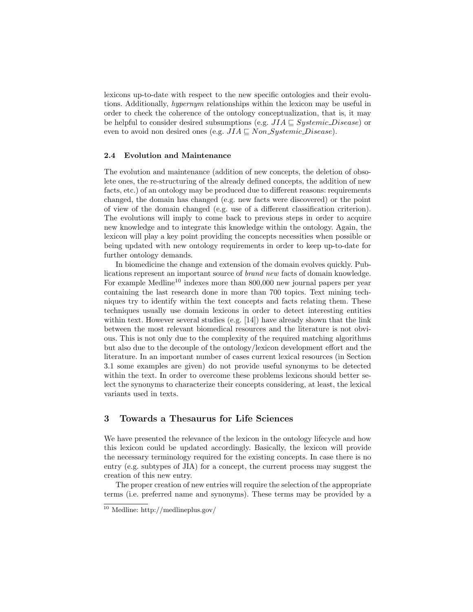lexicons up-to-date with respect to the new specific ontologies and their evolutions. Additionally, hypernym relationships within the lexicon may be useful in order to check the coherence of the ontology conceptualization, that is, it may be helpful to consider desired subsumptions (e.g.  $JIA \sqsubseteq Systemic\_Disease$ ) or even to avoid non desired ones (e.g.  $JIA \sqsubseteq Non\_Systemic\_Disease)$ .

#### 2.4 Evolution and Maintenance

The evolution and maintenance (addition of new concepts, the deletion of obsolete ones, the re-structuring of the already defined concepts, the addition of new facts, etc.) of an ontology may be produced due to different reasons: requirements changed, the domain has changed (e.g. new facts were discovered) or the point of view of the domain changed (e.g. use of a different classification criterion). The evolutions will imply to come back to previous steps in order to acquire new knowledge and to integrate this knowledge within the ontology. Again, the lexicon will play a key point providing the concepts necessities when possible or being updated with new ontology requirements in order to keep up-to-date for further ontology demands.

In biomedicine the change and extension of the domain evolves quickly. Publications represent an important source of brand new facts of domain knowledge. For example Medline<sup>10</sup> indexes more than  $800,000$  new journal papers per year containing the last research done in more than 700 topics. Text mining techniques try to identify within the text concepts and facts relating them. These techniques usually use domain lexicons in order to detect interesting entities within text. However several studies (e.g. [14]) have already shown that the link between the most relevant biomedical resources and the literature is not obvious. This is not only due to the complexity of the required matching algorithms but also due to the decouple of the ontology/lexicon development effort and the literature. In an important number of cases current lexical resources (in Section 3.1 some examples are given) do not provide useful synonyms to be detected within the text. In order to overcome these problems lexicons should better select the synonyms to characterize their concepts considering, at least, the lexical variants used in texts.

# 3 Towards a Thesaurus for Life Sciences

We have presented the relevance of the lexicon in the ontology lifecycle and how this lexicon could be updated accordingly. Basically, the lexicon will provide the necessary terminology required for the existing concepts. In case there is no entry (e.g. subtypes of JIA) for a concept, the current process may suggest the creation of this new entry.

The proper creation of new entries will require the selection of the appropriate terms (i.e. preferred name and synonyms). These terms may be provided by a

 $\frac{10 \text{ Medline: http://mediumplus.gov/}}{10 \text{ Medline: http://mediumplus.gov/}}$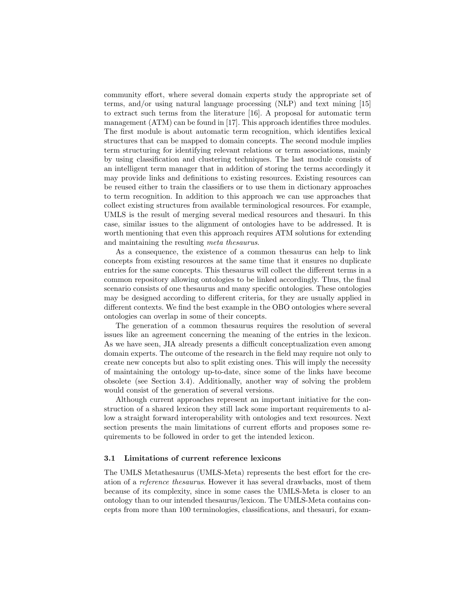community effort, where several domain experts study the appropriate set of terms, and/or using natural language processing (NLP) and text mining [15] to extract such terms from the literature [16]. A proposal for automatic term management (ATM) can be found in [17]. This approach identifies three modules. The first module is about automatic term recognition, which identifies lexical structures that can be mapped to domain concepts. The second module implies term structuring for identifying relevant relations or term associations, mainly by using classification and clustering techniques. The last module consists of an intelligent term manager that in addition of storing the terms accordingly it may provide links and definitions to existing resources. Existing resources can be reused either to train the classifiers or to use them in dictionary approaches to term recognition. In addition to this approach we can use approaches that collect existing structures from available terminological resources. For example, UMLS is the result of merging several medical resources and thesauri. In this case, similar issues to the alignment of ontologies have to be addressed. It is worth mentioning that even this approach requires ATM solutions for extending and maintaining the resulting meta thesaurus.

As a consequence, the existence of a common thesaurus can help to link concepts from existing resources at the same time that it ensures no duplicate entries for the same concepts. This thesaurus will collect the different terms in a common repository allowing ontologies to be linked accordingly. Thus, the final scenario consists of one thesaurus and many specific ontologies. These ontologies may be designed according to different criteria, for they are usually applied in different contexts. We find the best example in the OBO ontologies where several ontologies can overlap in some of their concepts.

The generation of a common thesaurus requires the resolution of several issues like an agreement concerning the meaning of the entries in the lexicon. As we have seen, JIA already presents a difficult conceptualization even among domain experts. The outcome of the research in the field may require not only to create new concepts but also to split existing ones. This will imply the necessity of maintaining the ontology up-to-date, since some of the links have become obsolete (see Section 3.4). Additionally, another way of solving the problem would consist of the generation of several versions.

Although current approaches represent an important initiative for the construction of a shared lexicon they still lack some important requirements to allow a straight forward interoperability with ontologies and text resources. Next section presents the main limitations of current efforts and proposes some requirements to be followed in order to get the intended lexicon.

#### 3.1 Limitations of current reference lexicons

The UMLS Metathesaurus (UMLS-Meta) represents the best effort for the creation of a reference thesaurus. However it has several drawbacks, most of them because of its complexity, since in some cases the UMLS-Meta is closer to an ontology than to our intended thesaurus/lexicon. The UMLS-Meta contains concepts from more than 100 terminologies, classifications, and thesauri, for exam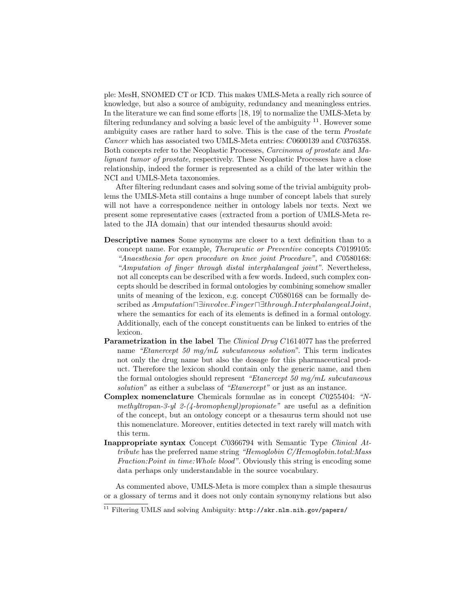ple: MesH, SNOMED CT or ICD. This makes UMLS-Meta a really rich source of knowledge, but also a source of ambiguity, redundancy and meaningless entries. In the literature we can find some efforts [18, 19] to normalize the UMLS-Meta by filtering redundancy and solving a basic level of the ambiguity  $11$ . However some ambiguity cases are rather hard to solve. This is the case of the term Prostate Cancer which has associated two UMLS-Meta entries: C0600139 and C0376358. Both concepts refer to the Neoplastic Processes, Carcinoma of prostate and Malignant tumor of prostate, respectively. These Neoplastic Processes have a close relationship, indeed the former is represented as a child of the later within the NCI and UMLS-Meta taxonomies.

After filtering redundant cases and solving some of the trivial ambiguity problems the UMLS-Meta still contains a huge number of concept labels that surely will not have a correspondence neither in ontology labels nor texts. Next we present some representative cases (extracted from a portion of UMLS-Meta related to the JIA domain) that our intended thesaurus should avoid:

- Descriptive names Some synonyms are closer to a text definition than to a concept name. For example, Therapeutic or Preventive concepts C0199105: "Anaesthesia for open procedure on knee joint Procedure", and C0580168: "Amputation of finger through distal interphalangeal joint". Nevertheless, not all concepts can be described with a few words. Indeed, such complex concepts should be described in formal ontologies by combining somehow smaller units of meaning of the lexicon, e.g. concept C0580168 can be formally described as Amputation⊓∃involve.Finger∏∃through.InterphalangealJoint, where the semantics for each of its elements is defined in a formal ontology. Additionally, each of the concept constituents can be linked to entries of the lexicon.
- Parametrization in the label The Clinical Drug C1614077 has the preferred name "Etanercept 50 mg/mL subcutaneous solution". This term indicates not only the drug name but also the dosage for this pharmaceutical product. Therefore the lexicon should contain only the generic name, and then the formal ontologies should represent "Etanercept 50 mg/mL subcutaneous solution" as either a subclass of "Etanercept" or just as an instance.
- Complex nomenclature Chemicals formulae as in concept C0255404: "Nmethyltropan-3-yl 2- $(4$ -bromophenyl)propionate" are useful as a definition of the concept, but an ontology concept or a thesaurus term should not use this nomenclature. Moreover, entities detected in text rarely will match with this term.
- Inappropriate syntax Concept C0366794 with Semantic Type Clinical Attribute has the preferred name string "Hemoglobin C/Hemoglobin.total:Mass Fraction:Point in time:Whole blood". Obviously this string is encoding some data perhaps only understandable in the source vocabulary.

As commented above, UMLS-Meta is more complex than a simple thesaurus or a glossary of terms and it does not only contain synonymy relations but also

 $\frac{11}{11}$  Filtering UMLS and solving Ambiguity: http://skr.nlm.nih.gov/papers/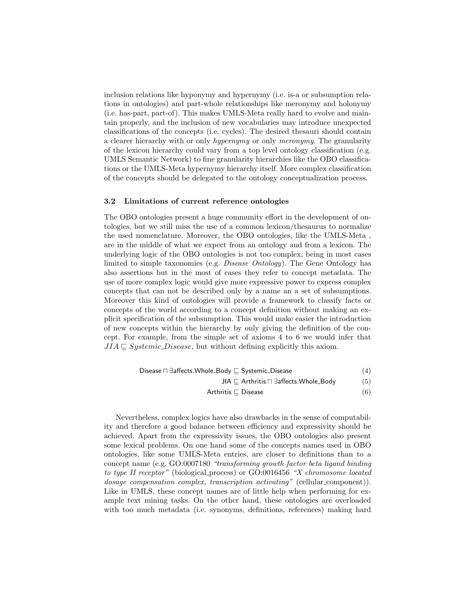inclusion relations like hyponymy and hypernymy (i.e. is-a or subsumption relations in ontologies) and part-whole relationships like meronymy and holonymy (i.e. has-part, part-of). This makes UMLS-Meta really hard to evolve and maintain properly, and the inclusion of new vocabularies may introduce unexpected classifications of the concepts (i.e. cycles). The desired thesauri should contain a clearer hierarchy with or only hypernymy or only meronymy. The granularity of the lexicon hierarchy could vary from a top level ontology classification (e.g. UMLS Semantic Network) to fine granularity hierarchies like the OBO classifications or the UMLS-Meta hypernymy hierarchy itself. More complex classification of the concepts should be delegated to the ontology conceptualization process.

#### 3.2 Limitations of current reference ontologies

The OBO ontologies present a huge community effort in the development of ontologies, but we still miss the use of a common lexicon/thesaurus to normalize the used nomenclature. Moreover, the OBO ontologies, like the UMLS-Meta , are in the middle of what we expect from an ontology and from a lexicon. The underlying logic of the OBO ontologies is not too complex, being in most cases limited to simple taxonomies (e.g. Disease Ontology). The Gene Ontology has also assertions but in the most of cases they refer to concept metadata. The use of more complex logic would give more expressive power to express complex concepts that can not be described only by a name an a set of subsumptions. Moreover this kind of ontologies will provide a framework to classify facts or concepts of the world according to a concept definition without making an explicit specification of the subsumption. This would make easier the introduction of new concepts within the hierarchy by only giving the definition of the concept. For example, from the simple set of axioms 4 to 6 we would infer that  $JIA \sqsubseteq Systemic\_Disease$ , but without defining explicitly this axiom.

| Disease $\sqcap$ $\exists$ affects. Whole_Body $\sqsubset$ Systemic_Disease | (4) |
|-----------------------------------------------------------------------------|-----|
| $JIA \sqsubset$ Arthritis $\sqcap$ 3 affects. Whole_Body                    | (5) |
| Arthritis $\Box$ Disease                                                    | (6) |

Nevertheless, complex logics have also drawbacks in the sense of computability and therefore a good balance between efficiency and expressivity should be achieved. Apart from the expressivity issues, the OBO ontologies also present some lexical problems. On one hand some of the concepts names used in OBO ontologies, like some UMLS-Meta entries, are closer to definitions than to a concept name (e.g. GO:0007180 "transforming growth factor beta ligand binding to type II receptor" (biological process) or GO:0016456 "X chromosome located dosage compensation complex, transcription activating" (cellular\_component)). Like in UMLS, these concept names are of little help when performing for example text mining tasks. On the other hand, these ontologies are overloaded with too much metadata (i.e. synonyms, definitions, references) making hard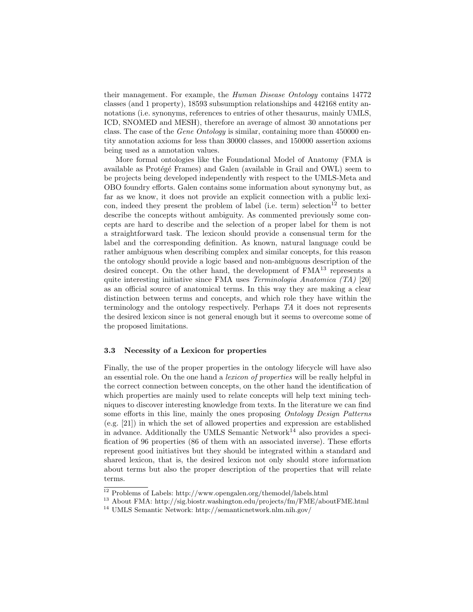their management. For example, the Human Disease Ontology contains 14772 classes (and 1 property), 18593 subsumption relationships and 442168 entity annotations (i.e. synonyms, references to entries of other thesaurus, mainly UMLS, ICD, SNOMED and MESH), therefore an average of almost 30 annotations per class. The case of the *Gene Ontology* is similar, containing more than 450000 entity annotation axioms for less than 30000 classes, and 150000 assertion axioms being used as a annotation values.

More formal ontologies like the Foundational Model of Anatomy (FMA is available as Protégé Frames) and Galen (available in Grail and OWL) seem to be projects being developed independently with respect to the UMLS-Meta and OBO foundry efforts. Galen contains some information about synonymy but, as far as we know, it does not provide an explicit connection with a public lexicon, indeed they present the problem of label (i.e. term) selection $12$  to better describe the concepts without ambiguity. As commented previously some concepts are hard to describe and the selection of a proper label for them is not a straightforward task. The lexicon should provide a consensual term for the label and the corresponding definition. As known, natural language could be rather ambiguous when describing complex and similar concepts, for this reason the ontology should provide a logic based and non-ambiguous description of the desired concept. On the other hand, the development of  $FMA<sup>13</sup>$  represents a quite interesting initiative since FMA uses *Terminologia Anatomica* (TA) [20] as an official source of anatomical terms. In this way they are making a clear distinction between terms and concepts, and which role they have within the terminology and the ontology respectively. Perhaps TA it does not represents the desired lexicon since is not general enough but it seems to overcome some of the proposed limitations.

## 3.3 Necessity of a Lexicon for properties

Finally, the use of the proper properties in the ontology lifecycle will have also an essential role. On the one hand a lexicon of properties will be really helpful in the correct connection between concepts, on the other hand the identification of which properties are mainly used to relate concepts will help text mining techniques to discover interesting knowledge from texts. In the literature we can find some efforts in this line, mainly the ones proposing Ontology Design Patterns (e.g. [21]) in which the set of allowed properties and expression are established in advance. Additionally the UMLS Semantic Network<sup>14</sup> also provides a specification of 96 properties (86 of them with an associated inverse). These efforts represent good initiatives but they should be integrated within a standard and shared lexicon, that is, the desired lexicon not only should store information about terms but also the proper description of the properties that will relate terms.

<sup>12</sup> Problems of Labels: http://www.opengalen.org/themodel/labels.html

<sup>&</sup>lt;sup>13</sup> About FMA: http://sig.biostr.washington.edu/projects/fm/FME/aboutFME.html

<sup>14</sup> UMLS Semantic Network: http://semanticnetwork.nlm.nih.gov/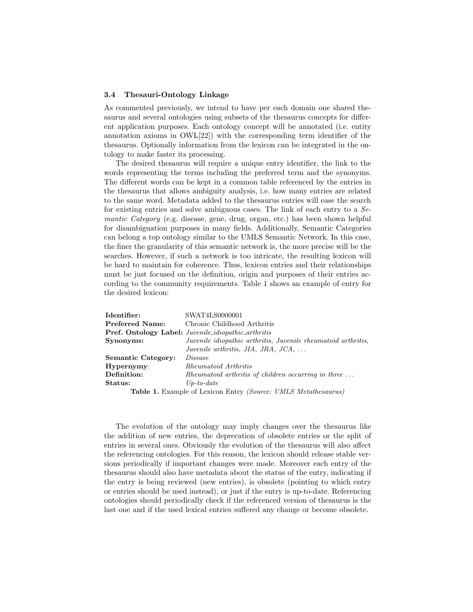#### 3.4 Thesauri-Ontology Linkage

As commented previously, we intend to have per each domain one shared thesaurus and several ontologies using subsets of the thesaurus concepts for different application purposes. Each ontology concept will be annotated (i.e. entity annotation axioms in OWL[22]) with the corresponding term identifier of the thesaurus. Optionally information from the lexicon can be integrated in the ontology to make faster its processing.

The desired thesaurus will require a unique entry identifier, the link to the words representing the terms including the preferred term and the synonyms. The different words can be kept in a common table referenced by the entries in the thesaurus that allows ambiguity analysis, i.e. how many entries are related to the same word. Metadata added to the thesaurus entries will ease the search for existing entries and solve ambiguous cases. The link of each entry to a Semantic Category (e.g. disease, gene, drug, organ, etc.) has been shown helpful for disambiguation purposes in many fields. Additionally, Semantic Categories can belong a top ontology similar to the UMLS Semantic Network. In this case, the finer the granularity of this semantic network is, the more precise will be the searches. However, if such a network is too intricate, the resulting lexicon will be hard to maintain for coherence. Thus, lexicon entries and their relationships must be just focused on the definition, origin and purposes of their entries according to the community requirements. Table 1 shows an example of entry for the desired lexicon:

| Identifier:               | SWAT4LS0000001                                                               |
|---------------------------|------------------------------------------------------------------------------|
| <b>Preferred Name:</b>    | Chronic Childhood Arthritis                                                  |
|                           | <b>Pref. Ontology Label:</b> Juvenile_idiopathic_arthritis                   |
| Synonyms:                 | Juvenile idiopathic arthritis, Juvenile rheumatoid arthritis,                |
|                           | Juvenile arthritis, JIA, JRA, JCA, $\ldots$                                  |
| <b>Semantic Category:</b> | <i>Disease</i>                                                               |
| Hypernymy:                | Rheumatoid Arthritis                                                         |
| Definition:               | $Rheumatoid$ arthritis of children occurring in three $\dots$                |
| Status:                   | $Up\text{-}to\text{-}date$                                                   |
|                           | <b>Table 1.</b> Example of Lexicon Entry <i>(Source: UMLS Metathesaurus)</i> |

The evolution of the ontology may imply changes over the thesaurus like the addition of new entries, the deprecation of obsolete entries or the split of entries in several ones. Obviously the evolution of the thesaurus will also affect the referencing ontologies. For this reason, the lexicon should release stable versions periodically if important changes were made. Moreover each entry of the thesaurus should also have metadata about the status of the entry, indicating if the entry is being reviewed (new entries), is obsolete (pointing to which entry or entries should be used instead), or just if the entry is up-to-date. Referencing ontologies should periodically check if the referenced version of thesaurus is the last one and if the used lexical entries suffered any change or become obsolete.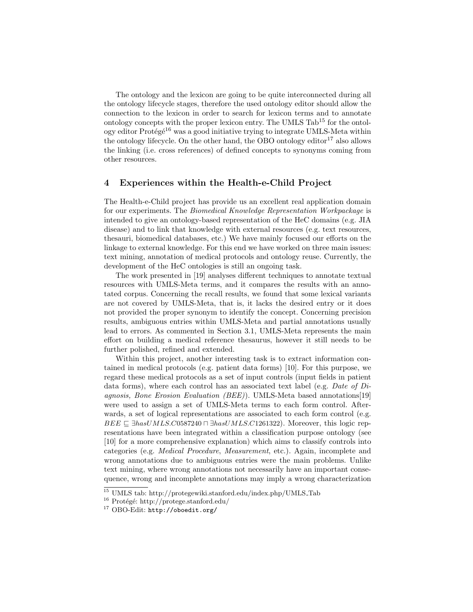The ontology and the lexicon are going to be quite interconnected during all the ontology lifecycle stages, therefore the used ontology editor should allow the connection to the lexicon in order to search for lexicon terms and to annotate ontology concepts with the proper lexicon entry. The UMLS  $Tab^{15}$  for the ontology editor Protégé<sup>16</sup> was a good initiative trying to integrate UMLS-Meta within the ontology lifecycle. On the other hand, the OBO ontology editor<sup>17</sup> also allows the linking (i.e. cross references) of defined concepts to synonyms coming from other resources.

## 4 Experiences within the Health-e-Child Project

The Health-e-Child project has provide us an excellent real application domain for our experiments. The Biomedical Knowledge Representation Workpackage is intended to give an ontology-based representation of the HeC domains (e.g. JIA disease) and to link that knowledge with external resources (e.g. text resources, thesauri, biomedical databases, etc.) We have mainly focused our efforts on the linkage to external knowledge. For this end we have worked on three main issues: text mining, annotation of medical protocols and ontology reuse. Currently, the development of the HeC ontologies is still an ongoing task.

The work presented in [19] analyses different techniques to annotate textual resources with UMLS-Meta terms, and it compares the results with an annotated corpus. Concerning the recall results, we found that some lexical variants are not covered by UMLS-Meta, that is, it lacks the desired entry or it does not provided the proper synonym to identify the concept. Concerning precision results, ambiguous entries within UMLS-Meta and partial annotations usually lead to errors. As commented in Section 3.1, UMLS-Meta represents the main effort on building a medical reference thesaurus, however it still needs to be further polished, refined and extended.

Within this project, another interesting task is to extract information contained in medical protocols (e.g. patient data forms) [10]. For this purpose, we regard these medical protocols as a set of input controls (input fields in patient data forms), where each control has an associated text label (e.g. Date of Diagnosis, Bone Erosion Evaluation (BEE)). UMLS-Meta based annotations[19] were used to assign a set of UMLS-Meta terms to each form control. Afterwards, a set of logical representations are associated to each form control (e.g.  $BEE \subseteq \exists hasUMLS.C0587240 \sqcap \exists hasUMLS.C1261322$ . Moreover, this logic representations have been integrated within a classification purpose ontology (see [10] for a more comprehensive explanation) which aims to classify controls into categories (e.g. Medical Procedure, Measurement, etc.). Again, incomplete and wrong annotations due to ambiguous entries were the main problems. Unlike text mining, where wrong annotations not necessarily have an important consequence, wrong and incomplete annotations may imply a wrong characterization

 $^{15}$  UMLS tab: http://protegewiki.stanford.edu/index.php/UMLS\_Tab  $\,$ 

 $16$  Protégé: http://protege.stanford.edu/

<sup>17</sup> OBO-Edit: http://oboedit.org/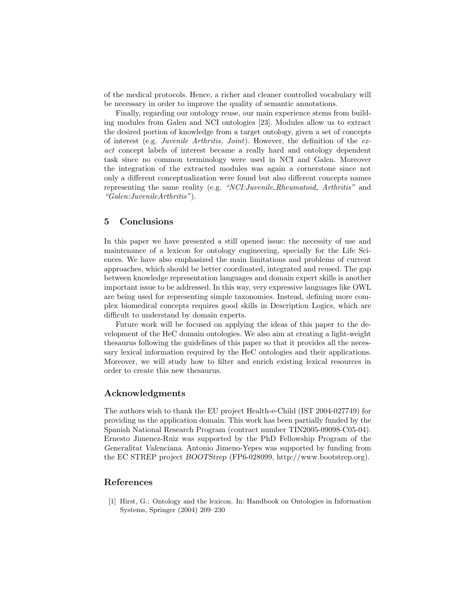of the medical protocols. Hence, a richer and cleaner controlled vocabulary will be necessary in order to improve the quality of semantic annotations.

Finally, regarding our ontology reuse, our main experience stems from building modules from Galen and NCI ontologies [23]. Modules allow us to extract the desired portion of knowledge from a target ontology, given a set of concepts of interest (e.g. Juvenile Arthritis, Joint). However, the definition of the exact concept labels of interest became a really hard and ontology dependent task since no common terminology were used in NCI and Galen. Moreover the integration of the extracted modules was again a cornerstone since not only a different conceptualization were found but also different concepts names representing the same reality (e.g. "NCI: Juvenile Rheumatoid Arthritis" and "Galen:JuvenileArthritis").

# 5 Conclusions

In this paper we have presented a still opened issue: the necessity of use and maintenance of a lexicon for ontology engineering, specially for the Life Sciences. We have also emphasized the main limitations and problems of current approaches, which should be better coordinated, integrated and reused. The gap between knowledge representation languages and domain expert skills is another important issue to be addressed. In this way, very expressive languages like OWL are being used for representing simple taxonomies. Instead, defining more complex biomedical concepts requires good skills in Description Logics, which are difficult to understand by domain experts.

Future work will be focused on applying the ideas of this paper to the development of the HeC domain ontologies. We also aim at creating a light-weight thesaurus following the guidelines of this paper so that it provides all the necessary lexical information required by the HeC ontologies and their applications. Moreover, we will study how to filter and enrich existing lexical resources in order to create this new thesaurus.

## Acknowledgments

The authors wish to thank the EU project Health-e-Child (IST 2004-027749) for providing us the application domain. This work has been partially funded by the Spanish National Research Program (contract number TIN2005-09098-C05-04). Ernesto Jimenez-Ruiz was supported by the PhD Fellowship Program of the Generalitat Valenciana. Antonio Jimeno-Yepes was supported by funding from the EC STREP project BOOTStrep (FP6-028099, http://www.bootstrep.org).

# References

[1] Hirst, G.: Ontology and the lexicon. In: Handbook on Ontologies in Information Systems, Springer (2004) 209–230